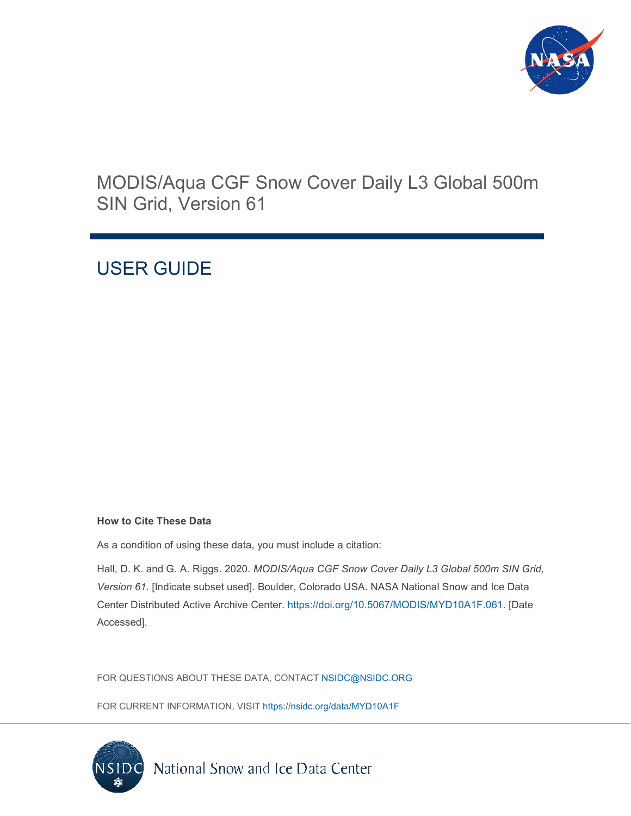

# MODIS/Aqua CGF Snow Cover Daily L3 Global 500m SIN Grid, Version 61

# USER GUIDE

#### **How to Cite These Data**

As a condition of using these data, you must include a citation:

Hall, D. K. and G. A. Riggs. 2020. *MODIS/Aqua CGF Snow Cover Daily L3 Global 500m SIN Grid, Version 61.* [Indicate subset used]. Boulder, Colorado USA. NASA National Snow and Ice Data Center Distributed Active Archive Center. [https://doi.org/10.5067/MODIS/MYD10A1F.061.](https://doi.org/10.5067/MODIS/MYD10A1F.061) [Date Accessed].

FOR QUESTIONS ABOUT THESE DATA, CONTACT [NSIDC@NSIDC.ORG](mailto:nsidc@nsidc.org)

FOR CURRENT INFORMATION, VISIT<https://nsidc.org/data/MYD10A1F>

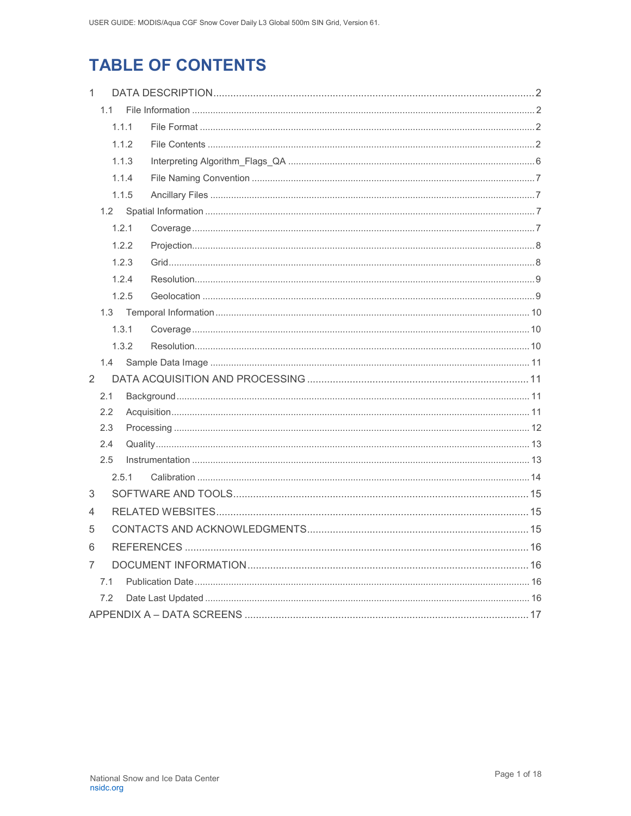# **TABLE OF CONTENTS**

| $\mathbf{1}$ |     |       |  |
|--------------|-----|-------|--|
|              | 1.1 |       |  |
|              |     | 1.1.1 |  |
|              |     | 1.1.2 |  |
|              |     | 1.1.3 |  |
|              |     | 1.1.4 |  |
|              |     | 1.1.5 |  |
|              | 1.2 |       |  |
|              |     | 1.2.1 |  |
|              |     | 1.2.2 |  |
|              |     | 1.2.3 |  |
|              |     | 1.2.4 |  |
|              |     | 1.2.5 |  |
|              | 1.3 |       |  |
|              |     | 1.3.1 |  |
|              |     | 1.3.2 |  |
|              | 1.4 |       |  |
| 2            |     |       |  |
|              | 2.1 |       |  |
|              | 2.2 |       |  |
|              | 2.3 |       |  |
|              | 2.4 |       |  |
|              | 2.5 |       |  |
|              |     | 2.5.1 |  |
| 3            |     |       |  |
| 4            |     |       |  |
| 5            |     |       |  |
| 6            |     |       |  |
| 7            |     |       |  |
|              | 7.1 |       |  |
|              | 7.2 |       |  |
|              |     |       |  |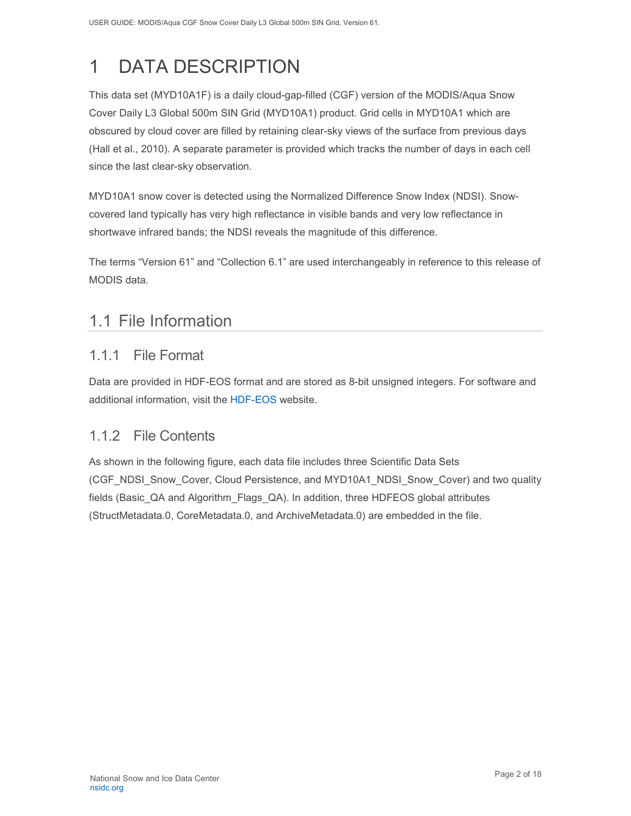# <span id="page-2-0"></span>1 DATA DESCRIPTION

This data set (MYD10A1F) is a daily cloud-gap-filled (CGF) version of the MODIS/Aqua Snow Cover Daily L3 Global 500m SIN Grid (MYD10A1) product. Grid cells in MYD10A1 which are obscured by cloud cover are filled by retaining clear-sky views of the surface from previous days (Hall et al., 2010). A separate parameter is provided which tracks the number of days in each cell since the last clear-sky observation.

MYD10A1 snow cover is detected using the Normalized Difference Snow Index (NDSI). Snowcovered land typically has very high reflectance in visible bands and very low reflectance in shortwave infrared bands; the NDSI reveals the magnitude of this difference.

<span id="page-2-1"></span>The terms "Version 61" and "Collection 6.1" are used interchangeably in reference to this release of MODIS data.

## 1.1 File Information

### <span id="page-2-2"></span>1.1.1 File Format

Data are provided in HDF-EOS format and are stored as 8-bit unsigned integers. For software and additional information, visit the [HDF-EOS w](https://portal.hdfgroup.org/display/support)ebsite.

### <span id="page-2-3"></span>1.1.2 File Contents

As shown in the following figure, each data file includes three Scientific Data Sets (CGF\_NDSI\_Snow\_Cover, Cloud Persistence, and MYD10A1\_NDSI\_Snow\_Cover) and two quality fields (Basic\_QA and Algorithm\_Flags\_QA). In addition, three HDFEOS global attributes (StructMetadata.0, CoreMetadata.0, and ArchiveMetadata.0) are embedded in the file.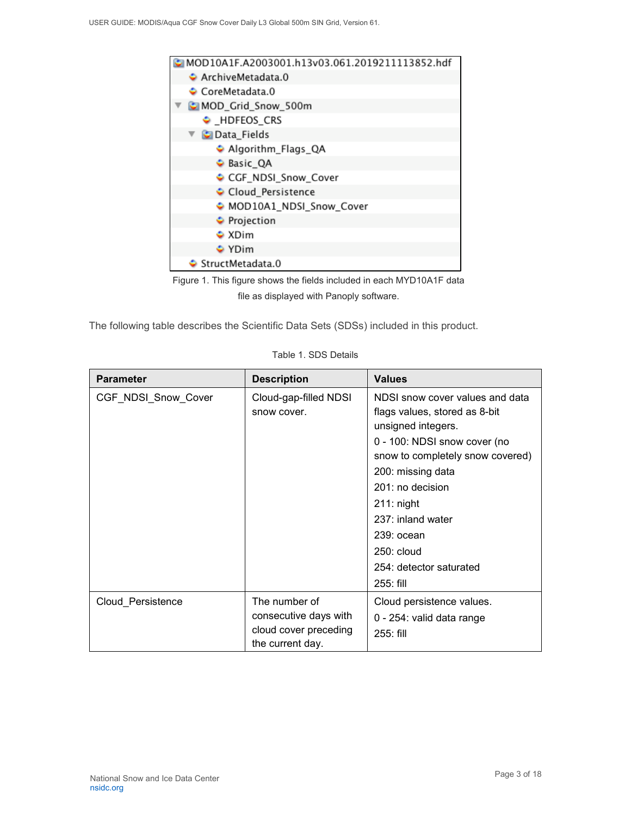



The following table describes the Scientific Data Sets (SDSs) included in this product.

| <b>Parameter</b>    | <b>Description</b>                                                                  | <b>Values</b>                                                                                                                                                                                                                                                                                                    |
|---------------------|-------------------------------------------------------------------------------------|------------------------------------------------------------------------------------------------------------------------------------------------------------------------------------------------------------------------------------------------------------------------------------------------------------------|
| CGF_NDSI_Snow_Cover | Cloud-gap-filled NDSI<br>snow cover.                                                | NDSI snow cover values and data<br>flags values, stored as 8-bit<br>unsigned integers.<br>0 - 100: NDSI snow cover (no<br>snow to completely snow covered)<br>200: missing data<br>201: no decision<br>$211:$ night<br>237: inland water<br>$239:$ ocean<br>$250:$ cloud<br>254: detector saturated<br>255: fill |
| Cloud Persistence   | The number of<br>consecutive days with<br>cloud cover preceding<br>the current day. | Cloud persistence values.<br>0 - 254: valid data range<br>255: fill                                                                                                                                                                                                                                              |

| Table 1. SDS Details |  |
|----------------------|--|
|----------------------|--|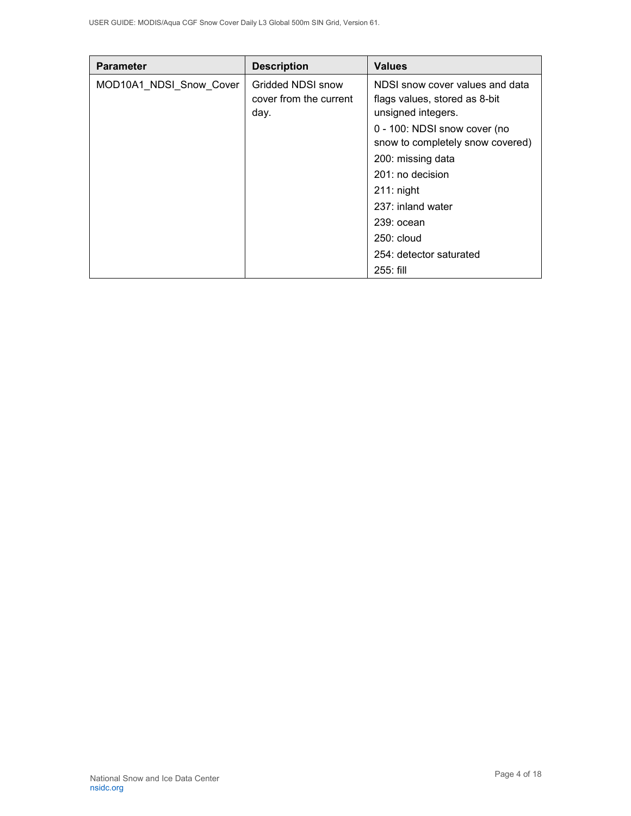| <b>Parameter</b>        | <b>Description</b>                                  | <b>Values</b>                                                                                                                                                                                                                                                            |
|-------------------------|-----------------------------------------------------|--------------------------------------------------------------------------------------------------------------------------------------------------------------------------------------------------------------------------------------------------------------------------|
| MOD10A1_NDSI_Snow_Cover | Gridded NDSI snow<br>cover from the current<br>day. | NDSI snow cover values and data<br>flags values, stored as 8-bit<br>unsigned integers.<br>0 - 100: NDSI snow cover (no<br>snow to completely snow covered)<br>200: missing data<br>$201:$ no decision<br>$211:$ night<br>237: inland water<br>239: ocean<br>$250:$ cloud |
|                         |                                                     | 254: detector saturated<br>255: fill                                                                                                                                                                                                                                     |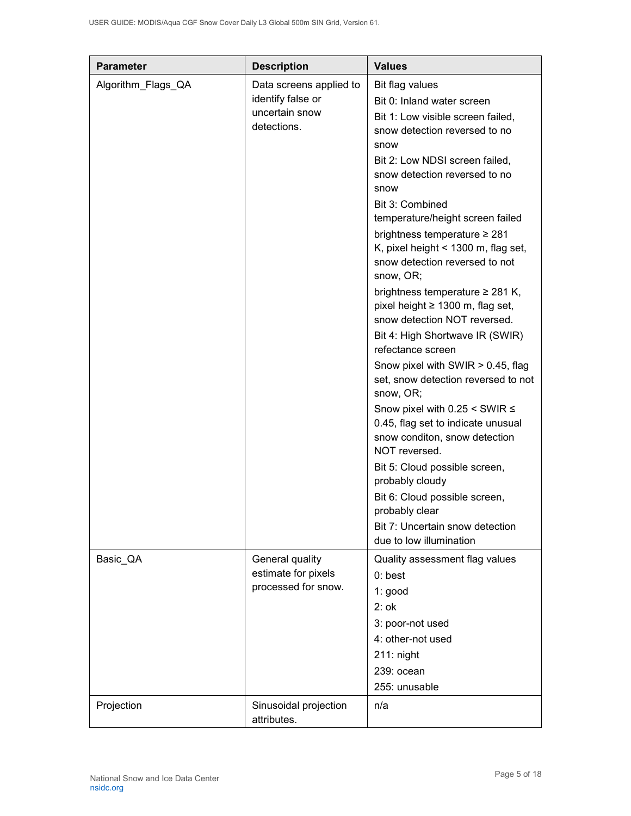| <b>Parameter</b>   | <b>Description</b>                                                            | <b>Values</b>                                                                                                                                                                                                                                                                                                                                                                                                                                                                                                                                                                                                                                                                                                                                                                                                                                                                                                                                          |
|--------------------|-------------------------------------------------------------------------------|--------------------------------------------------------------------------------------------------------------------------------------------------------------------------------------------------------------------------------------------------------------------------------------------------------------------------------------------------------------------------------------------------------------------------------------------------------------------------------------------------------------------------------------------------------------------------------------------------------------------------------------------------------------------------------------------------------------------------------------------------------------------------------------------------------------------------------------------------------------------------------------------------------------------------------------------------------|
| Algorithm_Flags_QA | Data screens applied to<br>identify false or<br>uncertain snow<br>detections. | Bit flag values<br>Bit 0: Inland water screen<br>Bit 1: Low visible screen failed,<br>snow detection reversed to no<br>snow<br>Bit 2: Low NDSI screen failed,<br>snow detection reversed to no<br>snow<br>Bit 3: Combined<br>temperature/height screen failed<br>brightness temperature ≥ 281<br>K, pixel height $<$ 1300 m, flag set,<br>snow detection reversed to not<br>snow, OR;<br>brightness temperature $\geq$ 281 K,<br>pixel height ≥ 1300 m, flag set,<br>snow detection NOT reversed.<br>Bit 4: High Shortwave IR (SWIR)<br>refectance screen<br>Snow pixel with SWIR > 0.45, flag<br>set, snow detection reversed to not<br>snow, OR;<br>Snow pixel with $0.25 <$ SWIR $\le$<br>0.45, flag set to indicate unusual<br>snow conditon, snow detection<br>NOT reversed.<br>Bit 5: Cloud possible screen,<br>probably cloudy<br>Bit 6: Cloud possible screen,<br>probably clear<br>Bit 7: Uncertain snow detection<br>due to low illumination |
| Basic_QA           | General quality<br>estimate for pixels<br>processed for snow.                 | Quality assessment flag values<br>$0:$ best<br>1: good<br>$2:$ ok<br>3: poor-not used<br>4: other-not used<br>$211:$ night<br>239: ocean<br>255: unusable                                                                                                                                                                                                                                                                                                                                                                                                                                                                                                                                                                                                                                                                                                                                                                                              |
| Projection         | Sinusoidal projection<br>attributes.                                          | n/a                                                                                                                                                                                                                                                                                                                                                                                                                                                                                                                                                                                                                                                                                                                                                                                                                                                                                                                                                    |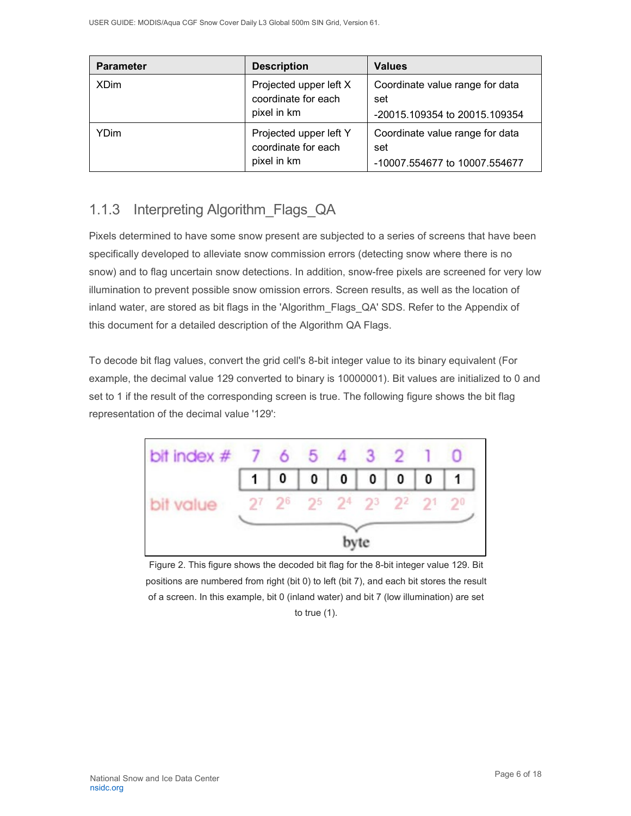| <b>Parameter</b> | <b>Description</b>                                           | <b>Values</b>                                                           |
|------------------|--------------------------------------------------------------|-------------------------------------------------------------------------|
| <b>XDim</b>      | Projected upper left X<br>coordinate for each<br>pixel in km | Coordinate value range for data<br>set<br>-20015.109354 to 20015.109354 |
| YDim             | Projected upper left Y<br>coordinate for each<br>pixel in km | Coordinate value range for data<br>set<br>-10007.554677 to 10007.554677 |

## <span id="page-6-0"></span>1.1.3 Interpreting Algorithm\_Flags\_QA

Pixels determined to have some snow present are subjected to a series of screens that have been specifically developed to alleviate snow commission errors (detecting snow where there is no snow) and to flag uncertain snow detections. In addition, snow-free pixels are screened for very low illumination to prevent possible snow omission errors. Screen results, as well as the location of inland water, are stored as bit flags in the 'Algorithm\_Flags\_QA' SDS. Refer to the Appendix of this document for a detailed description of the Algorithm QA Flags.

To decode bit flag values, convert the grid cell's 8-bit integer value to its binary equivalent (For example, the decimal value 129 converted to binary is 10000001). Bit values are initialized to 0 and set to 1 if the result of the corresponding screen is true. The following figure shows the bit flag representation of the decimal value '129':

| bit index $\#$ 7 6 5 4 3 2 |       |                         |      |  |                |
|----------------------------|-------|-------------------------|------|--|----------------|
|                            | $1$ 0 |                         |      |  | $\overline{1}$ |
| bit value                  |       | 27 26 25 24 23 22 21 20 |      |  |                |
|                            |       |                         | byte |  |                |

Figure 2. This figure shows the decoded bit flag for the 8-bit integer value 129. Bit positions are numbered from right (bit 0) to left (bit 7), and each bit stores the result of a screen. In this example, bit 0 (inland water) and bit 7 (low illumination) are set

to true (1).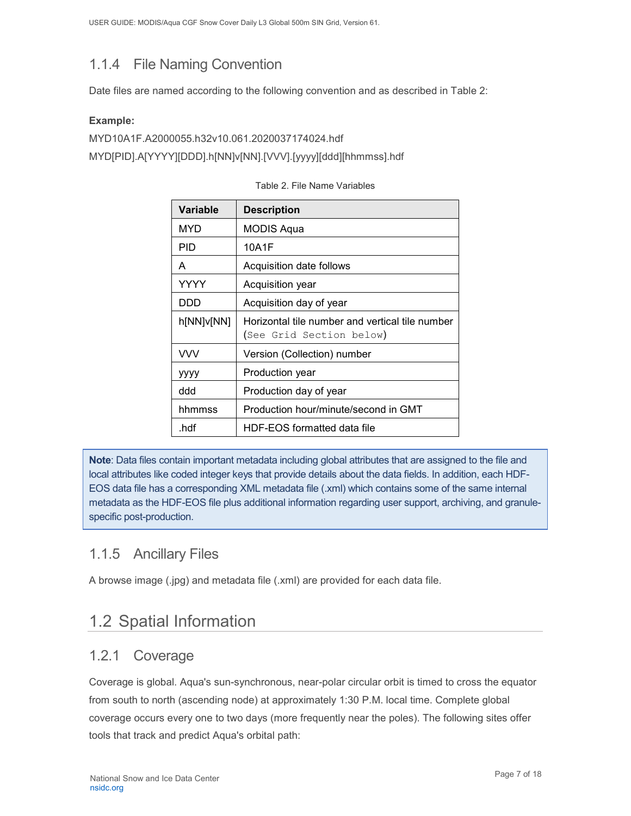## <span id="page-7-0"></span>1.1.4 File Naming Convention

Date files are named according to the following convention and as described in Table 2:

#### **Example:**

MYD10A1F.A2000055.h32v10.061.2020037174024.hdf MYD[PID].A[YYYY][DDD].h[NN]v[NN].[VVV].[yyyy][ddd][hhmmss].hdf

| Variable   | <b>Description</b>                                                          |
|------------|-----------------------------------------------------------------------------|
| MYD        | MODIS Aqua                                                                  |
| <b>PID</b> | 10A1F                                                                       |
| A          | Acquisition date follows                                                    |
| YYYY       | Acquisition year                                                            |
| DDD        | Acquisition day of year                                                     |
| h[NN]v[NN] | Horizontal tile number and vertical tile number<br>(See Grid Section below) |
| <b>VVV</b> | Version (Collection) number                                                 |
| уууу       | Production year                                                             |
| ddd        | Production day of year                                                      |
| hhmmss     | Production hour/minute/second in GMT                                        |
| .hdf       | HDF-EOS formatted data file                                                 |

#### Table 2. File Name Variables

**Note**: Data files contain important metadata including global attributes that are assigned to the file and local attributes like coded integer keys that provide details about the data fields. In addition, each HDF-EOS data file has a corresponding XML metadata file (.xml) which contains some of the same internal metadata as the HDF-EOS file plus additional information regarding user support, archiving, and granulespecific post-production.

### <span id="page-7-1"></span>1.1.5 Ancillary Files

A browse image (.jpg) and metadata file (.xml) are provided for each data file.

## <span id="page-7-2"></span>1.2 Spatial Information

### <span id="page-7-3"></span>1.2.1 Coverage

Coverage is global. Aqua's sun-synchronous, near-polar circular orbit is timed to cross the equator from south to north (ascending node) at approximately 1:30 P.M. local time. Complete global coverage occurs every one to two days (more frequently near the poles). The following sites offer tools that track and predict Aqua's orbital path: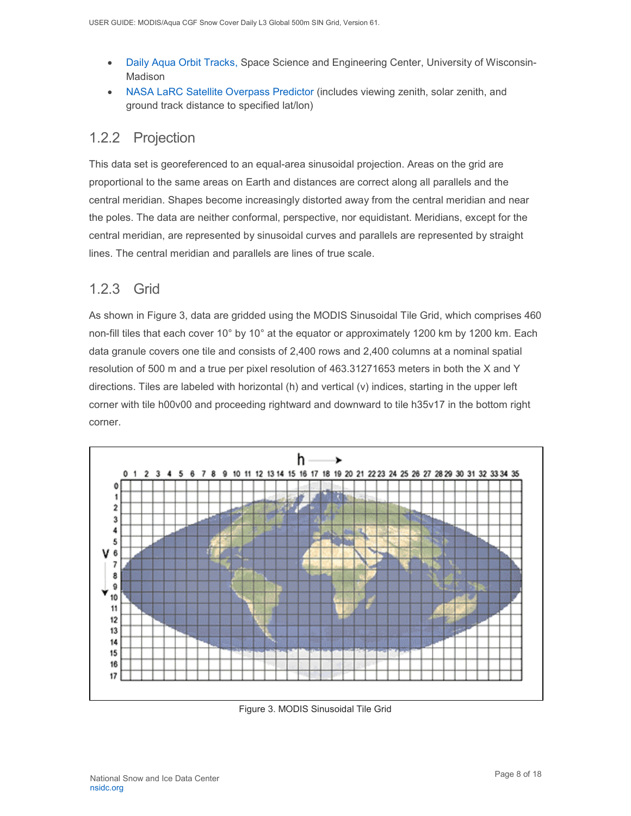- [Daily Aqua Orbit Tracks,](https://www.ssec.wisc.edu/datacenter/aqua/GLOBAL.html) Space Science and Engineering Center, University of Wisconsin-Madison
- NASA LaRC [Satellite Overpass Predictor](https://cloudsway2.larc.nasa.gov/cgi-bin/predict/predict.cgi) (includes viewing zenith, solar zenith, and ground track distance to specified lat/lon)

### <span id="page-8-0"></span>1.2.2 Projection

This data set is georeferenced to an equal-area sinusoidal projection. Areas on the grid are proportional to the same areas on Earth and distances are correct along all parallels and the central meridian. Shapes become increasingly distorted away from the central meridian and near the poles. The data are neither conformal, perspective, nor equidistant. Meridians, except for the central meridian, are represented by sinusoidal curves and parallels are represented by straight lines. The central meridian and parallels are lines of true scale.

### <span id="page-8-1"></span>1.2.3 Grid

As shown in Figure 3, data are gridded using the MODIS Sinusoidal Tile Grid, which comprises 460 non-fill tiles that each cover 10° by 10° at the equator or approximately 1200 km by 1200 km. Each data granule covers one tile and consists of 2,400 rows and 2,400 columns at a nominal spatial resolution of 500 m and a true per pixel resolution of 463.31271653 meters in both the X and Y directions. Tiles are labeled with horizontal (h) and vertical (v) indices, starting in the upper left corner with tile h00v00 and proceeding rightward and downward to tile h35v17 in the bottom right corner.



Figure 3. MODIS Sinusoidal Tile Grid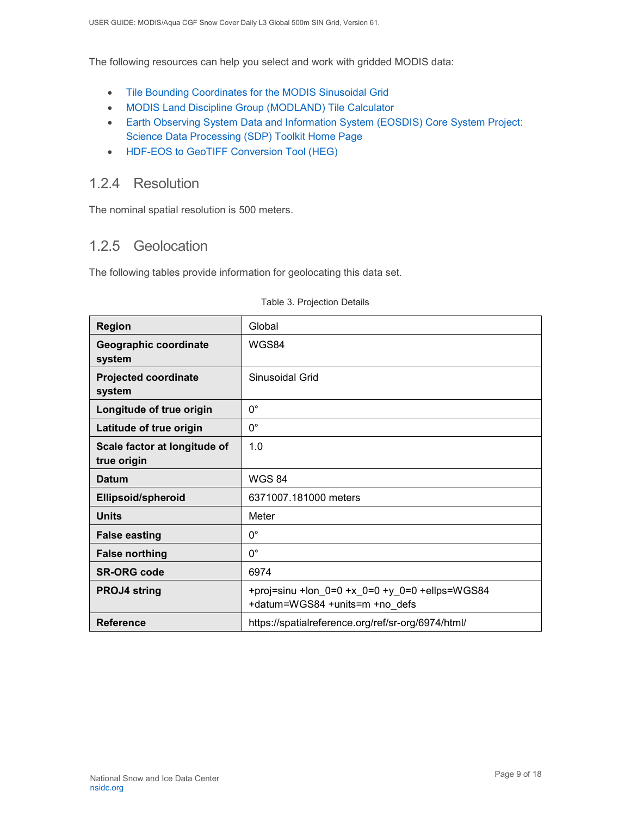The following resources can help you select and work with gridded MODIS data:

- [Tile Bounding Coordinates for the MODIS Sinusoidal Grid](http://modis-land.gsfc.nasa.gov/pdf/sn_bound_10deg.txt)
- [MODIS Land Discipline Group \(MODLAND\) Tile Calculator](http://landweb.nascom.nasa.gov/cgi-bin/developer/tilemap.cgi)
- [Earth Observing System Data and Information System \(EOSDIS\) Core System Project:](http://newsroom.gsfc.nasa.gov/sdptoolkit/toolkit.html)  [Science Data Processing \(SDP\) Toolkit Home Page](http://newsroom.gsfc.nasa.gov/sdptoolkit/toolkit.html)
- [HDF-EOS to GeoTIFF Conversion Tool \(HEG\)](http://newsroom.gsfc.nasa.gov/sdptoolkit/HEG/HEGHome.html)

### <span id="page-9-0"></span>1.2.4 Resolution

The nominal spatial resolution is 500 meters.

### <span id="page-9-1"></span>1.2.5 Geolocation

The following tables provide information for geolocating this data set.

| <b>Region</b>                               | Global                                                                           |
|---------------------------------------------|----------------------------------------------------------------------------------|
| Geographic coordinate<br>system             | WGS84                                                                            |
| <b>Projected coordinate</b><br>system       | Sinusoidal Grid                                                                  |
| Longitude of true origin                    | $0^{\circ}$                                                                      |
| Latitude of true origin                     | $0^{\circ}$                                                                      |
| Scale factor at longitude of<br>true origin | 1.0                                                                              |
| <b>Datum</b>                                | <b>WGS 84</b>                                                                    |
| <b>Ellipsoid/spheroid</b>                   | 6371007.181000 meters                                                            |
| <b>Units</b>                                | Meter                                                                            |
| <b>False easting</b>                        | $0^{\circ}$                                                                      |
| <b>False northing</b>                       | $0^{\circ}$                                                                      |
| <b>SR-ORG code</b>                          | 6974                                                                             |
| <b>PROJ4 string</b>                         | +proj=sinu +lon_0=0 +x_0=0 +y_0=0 +ellps=WGS84<br>+datum=WGS84 +units=m +no defs |
| <b>Reference</b>                            | https://spatialreference.org/ref/sr-org/6974/html/                               |

#### Table 3. Projection Details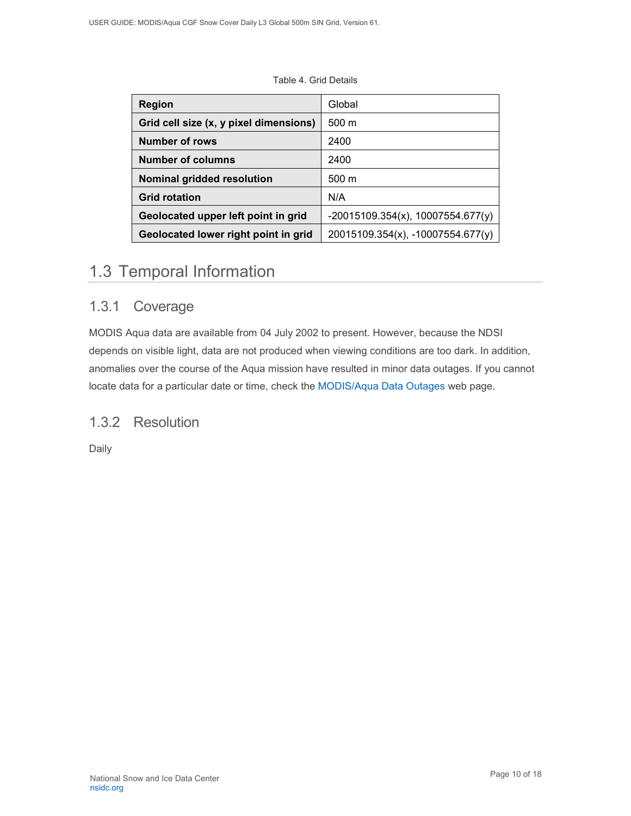#### Table 4. Grid Details

| <b>Region</b>                          | Global                              |
|----------------------------------------|-------------------------------------|
| Grid cell size (x, y pixel dimensions) | $500 \text{ m}$                     |
| <b>Number of rows</b>                  | 2400                                |
| Number of columns                      | 2400                                |
| Nominal gridded resolution             | $500 \text{ m}$                     |
| <b>Grid rotation</b>                   | N/A                                 |
| Geolocated upper left point in grid    | $-20015109.354(x), 10007554.677(y)$ |
| Geolocated lower right point in grid   | 20015109.354(x), -10007554.677(y)   |

### <span id="page-10-0"></span>1.3 Temporal Information

### <span id="page-10-1"></span>1.3.1 Coverage

MODIS Aqua data are available from 04 July 2002 to present. However, because the NDSI depends on visible light, data are not produced when viewing conditions are too dark. In addition, anomalies over the course of the Aqua mission have resulted in minor data outages. If you cannot locate data for a particular date or time, check the [MODIS/Aqua Data Outages](https://modaps.modaps.eosdis.nasa.gov/services/production/outages_aqua.html) web page.

### <span id="page-10-2"></span>1.3.2 Resolution

Daily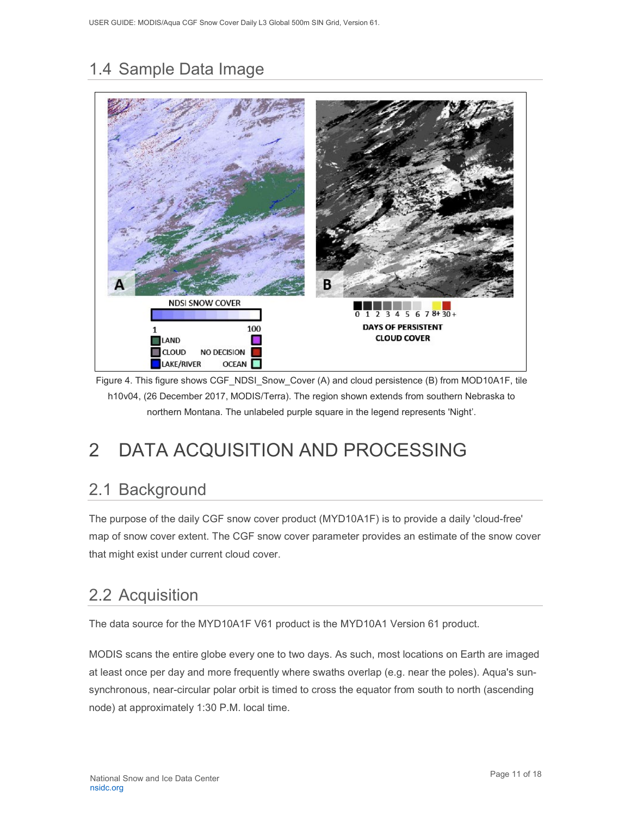# <span id="page-11-0"></span>1.4 Sample Data Image



Figure 4. This figure shows CGF\_NDSI\_Snow\_Cover (A) and cloud persistence (B) from MOD10A1F, tile h10v04, (26 December 2017, MODIS/Terra). The region shown extends from southern Nebraska to northern Montana. The unlabeled purple square in the legend represents 'Night'.

# <span id="page-11-1"></span>2 DATA ACQUISITION AND PROCESSING

## <span id="page-11-2"></span>2.1 Background

The purpose of the daily CGF snow cover product (MYD10A1F) is to provide a daily 'cloud-free' map of snow cover extent. The CGF snow cover parameter provides an estimate of the snow cover that might exist under current cloud cover.

## <span id="page-11-3"></span>2.2 Acquisition

The data source for the MYD10A1F V61 product is the MYD10A1 Version 61 product.

MODIS scans the entire globe every one to two days. As such, most locations on Earth are imaged at least once per day and more frequently where swaths overlap (e.g. near the poles). Aqua's sunsynchronous, near-circular polar orbit is timed to cross the equator from south to north (ascending node) at approximately 1:30 P.M. local time.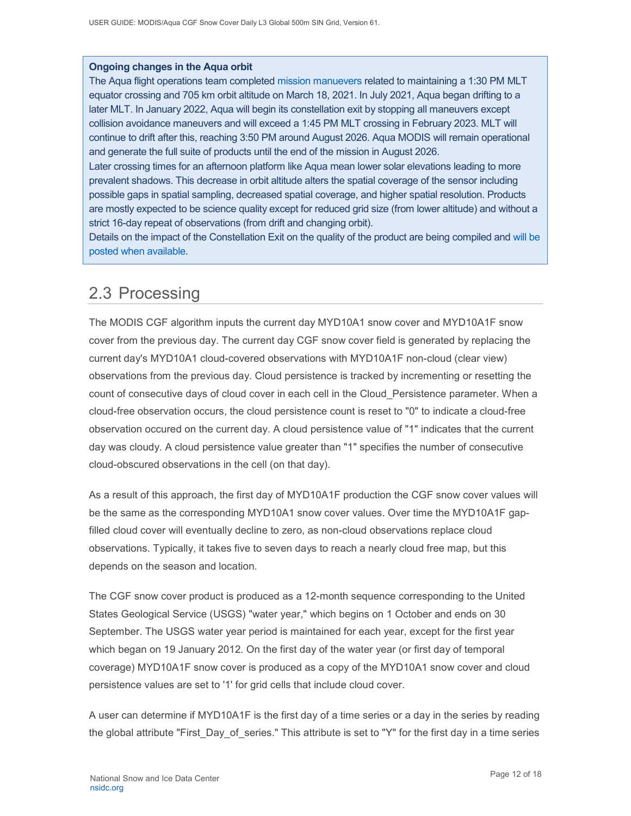#### **Ongoing changes in the Aqua orbit**

The Aqua flight operations team completed [mission manuevers](https://modis.gsfc.nasa.gov/news/individual.php?news_id=100389) related to maintaining a 1:30 PM MLT equator crossing and 705 km orbit altitude on March 18, 2021. In July 2021, Aqua began drifting to a later MLT. In January 2022, Aqua will begin its constellation exit by stopping all maneuvers except collision avoidance maneuvers and will exceed a 1:45 PM MLT crossing in February 2023. MLT will continue to drift after this, reaching 3:50 PM around August 2026. Aqua MODIS will remain operational and generate the full suite of products until the end of the mission in August 2026.

Later crossing times for an afternoon platform like Aqua mean lower solar elevations leading to more prevalent shadows. This decrease in orbit altitude alters the spatial coverage of the sensor including possible gaps in spatial sampling, decreased spatial coverage, and higher spatial resolution. Products are mostly expected to be science quality except for reduced grid size (from lower altitude) and without a strict 16-day repeat of observations (from drift and changing orbit).

Details on the impact of the Constellation Exit on the quality of the product are being compiled and [will be](https://landweb.modaps.eosdis.nasa.gov/cgi-bin/QS/new/index.cgi)  [posted when available.](https://landweb.modaps.eosdis.nasa.gov/cgi-bin/QS/new/index.cgi)

## <span id="page-12-0"></span>2.3 Processing

The MODIS CGF algorithm inputs the current day MYD10A1 snow cover and MYD10A1F snow cover from the previous day. The current day CGF snow cover field is generated by replacing the current day's MYD10A1 cloud-covered observations with MYD10A1F non-cloud (clear view) observations from the previous day. Cloud persistence is tracked by incrementing or resetting the count of consecutive days of cloud cover in each cell in the Cloud\_Persistence parameter. When a cloud-free observation occurs, the cloud persistence count is reset to "0" to indicate a cloud-free observation occured on the current day. A cloud persistence value of "1" indicates that the current day was cloudy. A cloud persistence value greater than "1" specifies the number of consecutive cloud-obscured observations in the cell (on that day).

As a result of this approach, the first day of MYD10A1F production the CGF snow cover values will be the same as the corresponding MYD10A1 snow cover values. Over time the MYD10A1F gapfilled cloud cover will eventually decline to zero, as non-cloud observations replace cloud observations. Typically, it takes five to seven days to reach a nearly cloud free map, but this depends on the season and location.

The CGF snow cover product is produced as a 12-month sequence corresponding to the United States Geological Service (USGS) "water year," which begins on 1 October and ends on 30 September. The USGS water year period is maintained for each year, except for the first year which began on 19 January 2012. On the first day of the water year (or first day of temporal coverage) MYD10A1F snow cover is produced as a copy of the MYD10A1 snow cover and cloud persistence values are set to '1' for grid cells that include cloud cover.

A user can determine if MYD10A1F is the first day of a time series or a day in the series by reading the global attribute "First\_Day\_of\_series." This attribute is set to "Y" for the first day in a time series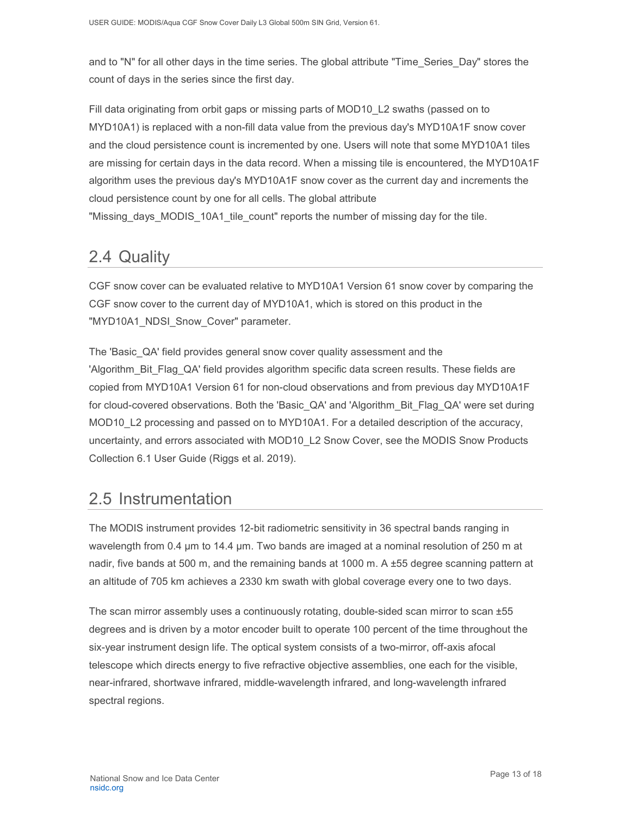and to "N" for all other days in the time series. The global attribute "Time Series Day" stores the count of days in the series since the first day.

Fill data originating from orbit gaps or missing parts of MOD10 L2 swaths (passed on to MYD10A1) is replaced with a non-fill data value from the previous day's MYD10A1F snow cover and the cloud persistence count is incremented by one. Users will note that some MYD10A1 tiles are missing for certain days in the data record. When a missing tile is encountered, the MYD10A1F algorithm uses the previous day's MYD10A1F snow cover as the current day and increments the cloud persistence count by one for all cells. The global attribute "Missing days MODIS 10A1 tile count" reports the number of missing day for the tile.

## <span id="page-13-0"></span>2.4 Quality

CGF snow cover can be evaluated relative to MYD10A1 Version 61 snow cover by comparing the CGF snow cover to the current day of MYD10A1, which is stored on this product in the "MYD10A1\_NDSI\_Snow\_Cover" parameter.

The 'Basic\_QA' field provides general snow cover quality assessment and the 'Algorithm\_Bit\_Flag\_QA' field provides algorithm specific data screen results. These fields are copied from MYD10A1 Version 61 for non-cloud observations and from previous day MYD10A1F for cloud-covered observations. Both the 'Basic\_QA' and 'Algorithm\_Bit\_Flag\_QA' were set during MOD10 L2 processing and passed on to MYD10A1. For a detailed description of the accuracy, uncertainty, and errors associated with MOD10\_L2 Snow Cover, see the MODIS Snow Products Collection 6.1 User Guide (Riggs et al. 2019).

## <span id="page-13-1"></span>2.5 Instrumentation

The MODIS instrument provides 12-bit radiometric sensitivity in 36 spectral bands ranging in wavelength from 0.4 µm to 14.4 µm. Two bands are imaged at a nominal resolution of 250 m at nadir, five bands at 500 m, and the remaining bands at 1000 m. A ±55 degree scanning pattern at an altitude of 705 km achieves a 2330 km swath with global coverage every one to two days.

The scan mirror assembly uses a continuously rotating, double-sided scan mirror to scan ±55 degrees and is driven by a motor encoder built to operate 100 percent of the time throughout the six-year instrument design life. The optical system consists of a two-mirror, off-axis afocal telescope which directs energy to five refractive objective assemblies, one each for the visible, near-infrared, shortwave infrared, middle-wavelength infrared, and long-wavelength infrared spectral regions.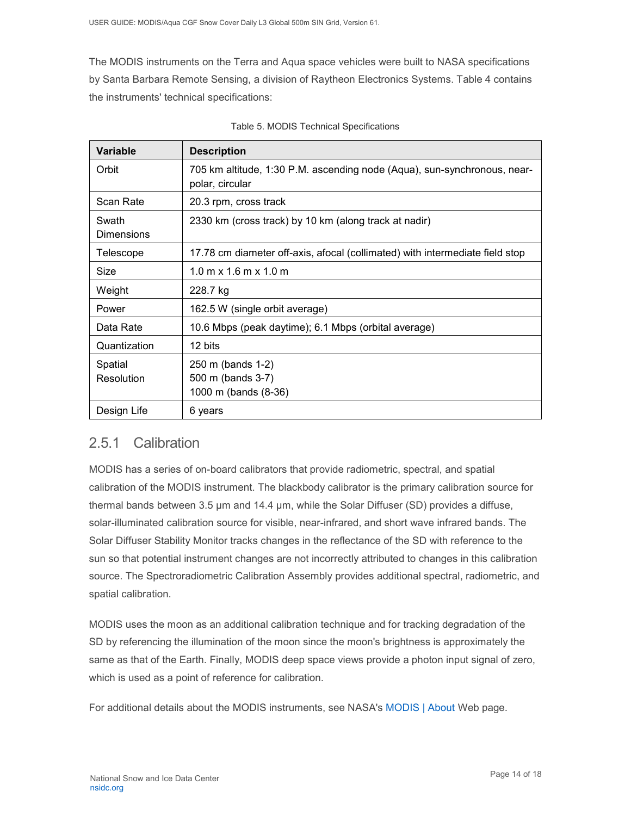The MODIS instruments on the Terra and Aqua space vehicles were built to NASA specifications by Santa Barbara Remote Sensing, a division of Raytheon Electronics Systems. Table 4 contains the instruments' technical specifications:

| <b>Variable</b>            | <b>Description</b>                                                                          |
|----------------------------|---------------------------------------------------------------------------------------------|
| Orbit                      | 705 km altitude, 1:30 P.M. ascending node (Aqua), sun-synchronous, near-<br>polar, circular |
| Scan Rate                  | 20.3 rpm, cross track                                                                       |
| Swath<br><b>Dimensions</b> | 2330 km (cross track) by 10 km (along track at nadir)                                       |
| Telescope                  | 17.78 cm diameter off-axis, afocal (collimated) with intermediate field stop                |
| Size                       | $1.0 \text{ m} \times 1.6 \text{ m} \times 1.0 \text{ m}$                                   |
| Weight                     | 228.7 kg                                                                                    |
| Power                      | 162.5 W (single orbit average)                                                              |
| Data Rate                  | 10.6 Mbps (peak daytime); 6.1 Mbps (orbital average)                                        |
| Quantization               | 12 bits                                                                                     |
| Spatial<br>Resolution      | 250 m (bands 1-2)<br>500 m (bands 3-7)<br>1000 m (bands (8-36)                              |
| Design Life                | 6 years                                                                                     |

| Table 5. MODIS Technical Specifications |
|-----------------------------------------|
|-----------------------------------------|

### <span id="page-14-0"></span>2.5.1 Calibration

MODIS has a series of on-board calibrators that provide radiometric, spectral, and spatial calibration of the MODIS instrument. The blackbody calibrator is the primary calibration source for thermal bands between 3.5 µm and 14.4 µm, while the Solar Diffuser (SD) provides a diffuse, solar-illuminated calibration source for visible, near-infrared, and short wave infrared bands. The Solar Diffuser Stability Monitor tracks changes in the reflectance of the SD with reference to the sun so that potential instrument changes are not incorrectly attributed to changes in this calibration source. The Spectroradiometric Calibration Assembly provides additional spectral, radiometric, and spatial calibration.

MODIS uses the moon as an additional calibration technique and for tracking degradation of the SD by referencing the illumination of the moon since the moon's brightness is approximately the same as that of the Earth. Finally, MODIS deep space views provide a photon input signal of zero, which is used as a point of reference for calibration.

For additional details about the MODIS instruments, see NASA's [MODIS | About](http://modis.gsfc.nasa.gov/about/) Web page.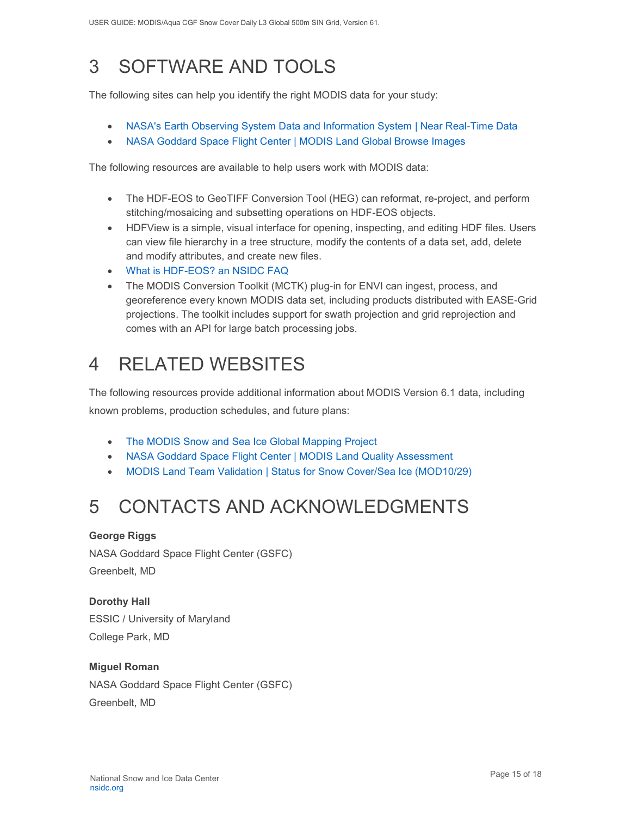# <span id="page-15-0"></span>3 SOFTWARE AND TOOLS

The following sites can help you identify the right MODIS data for your study:

- [NASA's Earth Observing System Data and Information System | Near Real-Time Data](http://earthdata.nasa.gov/data/near-real-time-data/rapid-response)
- [NASA Goddard Space Flight Center | MODIS Land Global Browse Images](https://landweb.modaps.eosdis.nasa.gov/cgi-bin/browse/browseMODIS.cgi)

The following resources are available to help users work with MODIS data:

- [The HDF-EOS to GeoTIFF Conversion Tool \(HEG\)](http://newsroom.gsfc.nasa.gov/sdptoolkit/HEG/HEGHome.html) can reformat, re-project, and perform stitching/mosaicing and subsetting operations on HDF-EOS objects.
- [HDFView](http://www.hdfgroup.com/hdf-java-html/hdfview/) is a simple, visual interface for opening, inspecting, and editing HDF files. Users can view file hierarchy in a tree structure, modify the contents of a data set, add, delete and modify attributes, and create new files.
- [What is HDF-EOS? an NSIDC FAQ](https://nsidc.org/support/faq/what-hdf-eos)
- [The MODIS Conversion Toolkit \(MCTK\) plug-in for ENVI](https://github.com/dawhite/MCTK) can ingest, process, and georeference every known MODIS data set, including products distributed with EASE-Grid projections. The toolkit includes support for swath projection and grid reprojection and comes with an API for large batch processing jobs.

# <span id="page-15-1"></span>4 RELATED WEBSITES

The following resources provide additional information about MODIS Version 6.1 data, including known problems, production schedules, and future plans:

- [The MODIS Snow and Sea Ice Global Mapping Project](http://modis-snow-ice.gsfc.nasa.gov/)
- [NASA Goddard Space Flight Center | MODIS Land Quality Assessment](http://landweb.nascom.nasa.gov/cgi-bin/QA_WWW/newPage.cgi)
- [MODIS Land Team Validation | Status for Snow Cover/Sea Ice \(MOD10/29\)](https://modis-land.gsfc.nasa.gov/ValStatus.php?ProductID=MOD10/29)

# <span id="page-15-2"></span>5 CONTACTS AND ACKNOWLEDGMENTS

#### **George Riggs**

NASA Goddard Space Flight Center (GSFC) Greenbelt, MD

**Dorothy Hall**  ESSIC / University of Maryland College Park, MD

#### **Miguel Roman**

NASA Goddard Space Flight Center (GSFC) Greenbelt, MD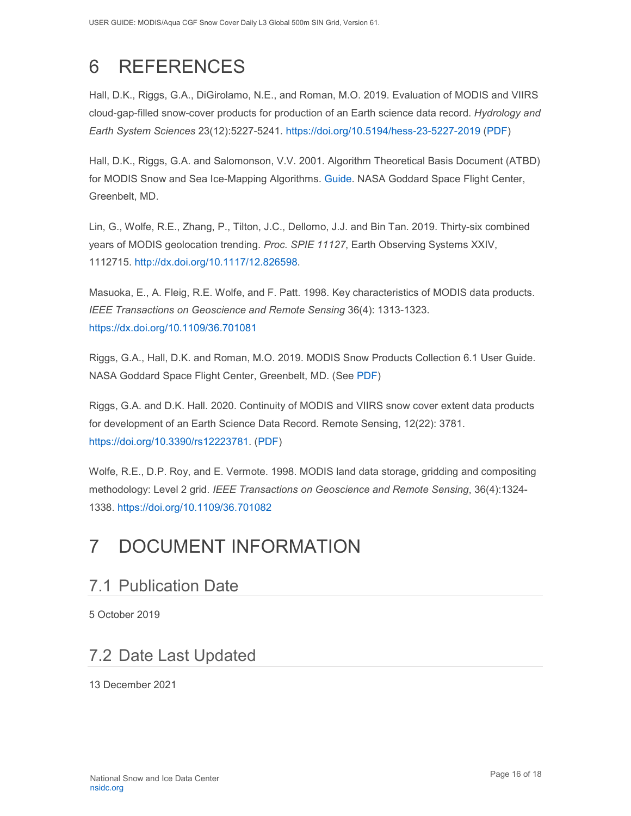# <span id="page-16-0"></span>6 REFERENCES

<span id="page-16-1"></span>Hall, D.K., Riggs, G.A., DiGirolamo, N.E., and Roman, M.O. 2019. Evaluation of MODIS and VIIRS cloud-gap-filled snow-cover products for production of an Earth science data record. *Hydrology and Earth System Sciences* 23(12):5227-5241. <https://doi.org/10.5194/hess-23-5227-2019> [\(PDF\)](https://nsidc.org/data/modis/technical-references)

Hall, D.K., Riggs, G.A. and Salomonson, V.V. 2001. Algorithm Theoretical Basis Document (ATBD) for MODIS Snow and Sea Ice-Mapping Algorithms. [Guide.](https://modis-snow-ice.gsfc.nasa.gov/?c=atbd) NASA Goddard Space Flight Center, Greenbelt, MD.

Lin, G., Wolfe, R.E., Zhang, P., Tilton, J.C., Dellomo, J.J. and Bin Tan. 2019. Thirty-six combined years of MODIS geolocation trending. *Proc. SPIE 11127*, Earth Observing Systems XXIV, 1112715. [http://dx.doi.org/10.1117/12.826598.](http://dx.doi.org/10.1117/12.826598)

Masuoka, E., A. Fleig, R.E. Wolfe, and F. Patt. 1998. Key characteristics of MODIS data products. *IEEE Transactions on Geoscience and Remote Sensing* 36(4): 1313-1323. <https://dx.doi.org/10.1109/36.701081>

Riggs, G.A., Hall, D.K. and Roman, M.O. 2019. MODIS Snow Products Collection 6.1 User Guide. NASA Goddard Space Flight Center, Greenbelt, MD. (See [PDF\)](https://nsidc.org/sites/nsidc.org/files/technical-references/C6.1_MODIS_Snow_User_Guide.pdf)

Riggs, G.A. and D.K. Hall. 2020. Continuity of MODIS and VIIRS snow cover extent data products for development of an Earth Science Data Record. Remote Sensing, 12(22): 3781. [https://doi.org/10.3390/rs12223781.](https://doi.org/10.3390/rs12223781) [\(PDF\)](https://nsidc.org/sites/nsidc.org/files/technical-references/Riggs%26Hall.2020.pdf)

Wolfe, R.E., D.P. Roy, and E. Vermote. 1998. MODIS land data storage, gridding and compositing methodology: Level 2 grid. *IEEE Transactions on Geoscience and Remote Sensing*, 36(4):1324- 1338. <https://doi.org/10.1109/36.701082>

# 7 DOCUMENT INFORMATION

## <span id="page-16-2"></span>7.1 Publication Date

5 October 2019

## <span id="page-16-3"></span>7.2 Date Last Updated

13 December 2021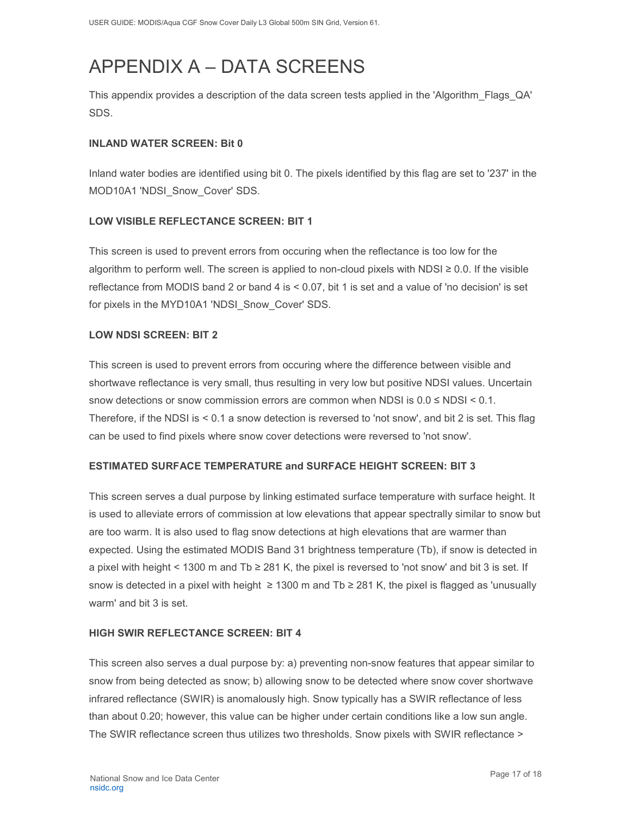# <span id="page-17-0"></span>APPENDIX A – DATA SCREENS

This appendix provides a description of the data screen tests applied in the 'Algorithm\_Flags\_QA' SDS.

#### **INLAND WATER SCREEN: Bit 0**

Inland water bodies are identified using bit 0. The pixels identified by this flag are set to '237' in the MOD10A1 'NDSI Snow Cover' SDS.

#### **LOW VISIBLE REFLECTANCE SCREEN: BIT 1**

This screen is used to prevent errors from occuring when the reflectance is too low for the algorithm to perform well. The screen is applied to non-cloud pixels with NDSI  $\geq 0.0$ . If the visible reflectance from MODIS band 2 or band 4 is < 0.07, bit 1 is set and a value of 'no decision' is set for pixels in the MYD10A1 'NDSI\_Snow\_Cover' SDS.

#### **LOW NDSI SCREEN: BIT 2**

This screen is used to prevent errors from occuring where the difference between visible and shortwave reflectance is very small, thus resulting in very low but positive NDSI values. Uncertain snow detections or snow commission errors are common when NDSI is  $0.0 \leq NDSI \leq 0.1$ . Therefore, if the NDSI is < 0.1 a snow detection is reversed to 'not snow', and bit 2 is set. This flag can be used to find pixels where snow cover detections were reversed to 'not snow'.

#### **ESTIMATED SURFACE TEMPERATURE and SURFACE HEIGHT SCREEN: BIT 3**

This screen serves a dual purpose by linking estimated surface temperature with surface height. It is used to alleviate errors of commission at low elevations that appear spectrally similar to snow but are too warm. It is also used to flag snow detections at high elevations that are warmer than expected. Using the estimated MODIS Band 31 brightness temperature (Tb), if snow is detected in a pixel with height < 1300 m and Tb ≥ 281 K, the pixel is reversed to 'not snow' and bit 3 is set. If snow is detected in a pixel with height  $\geq 1300$  m and Tb  $\geq 281$  K, the pixel is flagged as 'unusually warm' and bit 3 is set.

#### **HIGH SWIR REFLECTANCE SCREEN: BIT 4**

This screen also serves a dual purpose by: a) preventing non-snow features that appear similar to snow from being detected as snow; b) allowing snow to be detected where snow cover shortwave infrared reflectance (SWIR) is anomalously high. Snow typically has a SWIR reflectance of less than about 0.20; however, this value can be higher under certain conditions like a low sun angle. The SWIR reflectance screen thus utilizes two thresholds. Snow pixels with SWIR reflectance >